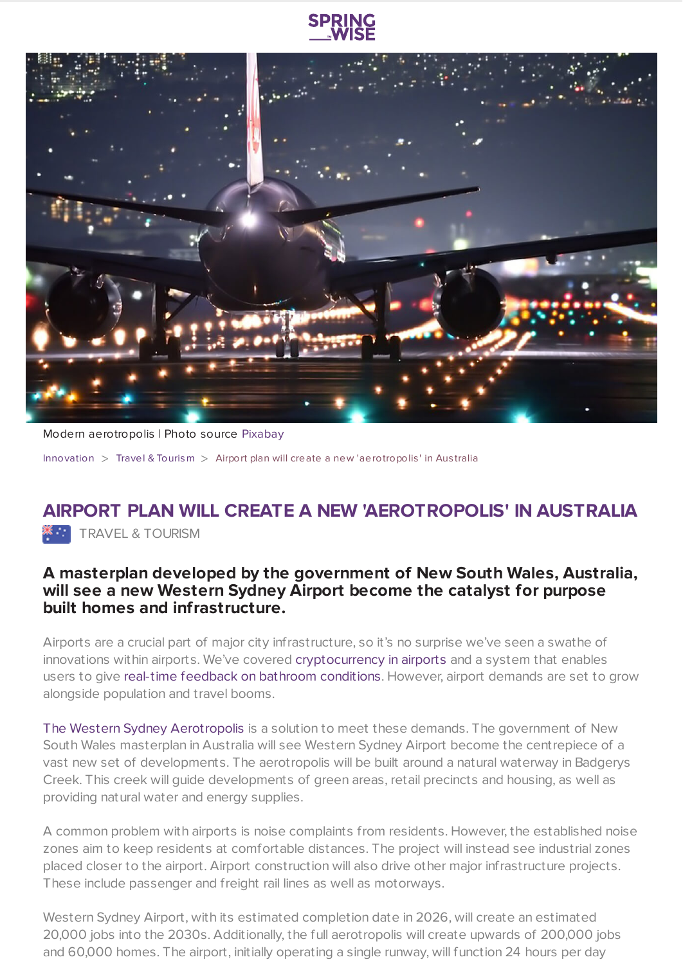



Modern aerotropolis | Photo source [Pixabay](https://pixabay.com/en/night-flight-plane-airport-2307018/)

[Innovation](https://www.springwise.com/search?type=innovation) > Travel & [Tourism](https://www.springwise.com/search?type=innovation§or=travel-and-tourism) > Airport plan will create a new 'aerotropolis' in Aus tralia

## **AIRPORT PLAN WILL CREATE A NEW 'AEROTROPOLIS' IN AUSTRALIA**

**X**<sup>3</sup> TRAVEL & TOURISM

## **A masterplan developed by the government of New South Wales, Australia, will see a new Western Sydney Airport become the catalyst for purpose built homes and infrastructure.**

Airports are a crucial part of major city infrastructure, so it's no surprise we've seen a swathe of innovations within airports. We've covered [cryptocurrency](https://www.springwise.com/airport-accepts-digital-currency-terminal-shops/) in airports and a system that enables users to give real-time feedback on bathroom [conditions](https://www.springwise.com/airport-trials-real-time-feedback-system-for-bathrooms/). However, airport demands are set to grow alongside population and travel booms.

The Western Sydney [Aerotropolis](http://westernsydneyairport.gov.au/) is a solution to meet these demands. The government of New South Wales masterplan in Australia will see Western Sydney Airport become the centrepiece of a vast new set of developments. The aerotropolis will be built around a natural waterway in Badgerys Creek. This creek will guide developments of green areas, retail precincts and housing, as well as providing natural water and energy supplies.

A common problem with airports is noise complaints from residents. However, the established noise zones aim to keep residents at comfortable distances. The project will instead see industrial zones placed closer to the airport. Airport construction will also drive other major infrastructure projects. These include passenger and freight rail lines as well as motorways.

Western Sydney Airport, with its estimated completion date in 2026, will create an estimated 20,000 jobs into the 2030s. Additionally, the full aerotropolis will create upwards of 200,000 jobs and 60,000 homes. The airport, initially operating a single runway, will function 24 hours per day